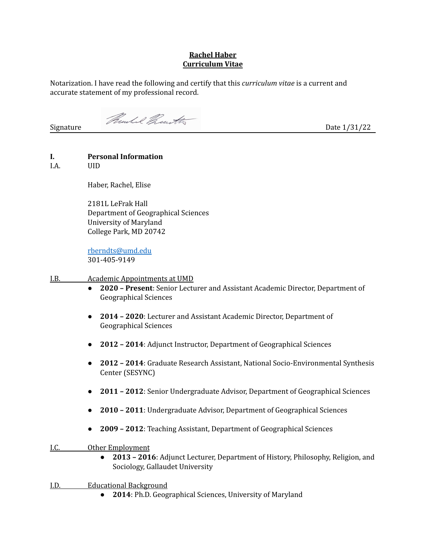## **Rachel Haber Curriculum Vitae**

Notarization. I have read the following and certify that this *curriculum vitae* is a current and accurate statement of my professional record.

Signature Thursdal Present to the Date 1/31/22

## **I. Personal Information**

I.A. UID

Haber, Rachel, Elise

2181L LeFrak Hall Department of Geographical Sciences University of Maryland College Park, MD 20742

[rberndts@umd.edu](mailto:rberndts@umd.edu) 301-405-9149

#### I.B. Academic Appointments at UMD

- **2020 – Present**: Senior Lecturer and Assistant Academic Director, Department of Geographical Sciences
- **2014 – 2020**: Lecturer and Assistant Academic Director, Department of Geographical Sciences
- **2012 – 2014**: Adjunct Instructor, Department of Geographical Sciences
- **2012 – 2014**: Graduate Research Assistant, National Socio-Environmental Synthesis Center (SESYNC)
- **2011 – 2012**: Senior Undergraduate Advisor, Department of Geographical Sciences
- **2010 – 2011**: Undergraduate Advisor, Department of Geographical Sciences
- **2009 – 2012**: Teaching Assistant, Department of Geographical Sciences

I.C. Other Employment

- **2013 – 2016**: Adjunct Lecturer, Department of History, Philosophy, Religion, and Sociology, Gallaudet University
- I.D. Educational Background
	- **2014**: Ph.D. Geographical Sciences, University of Maryland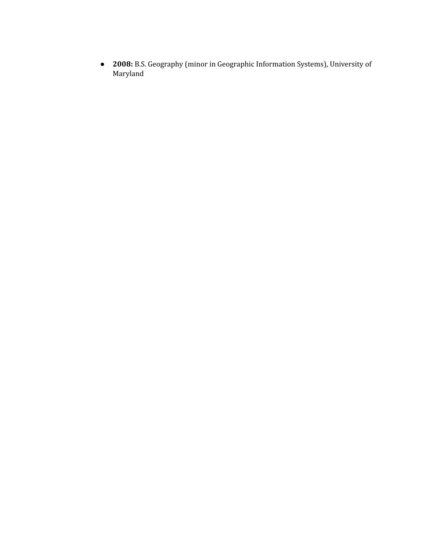• 2008: B.S. Geography (minor in Geographic Information Systems), University of Maryland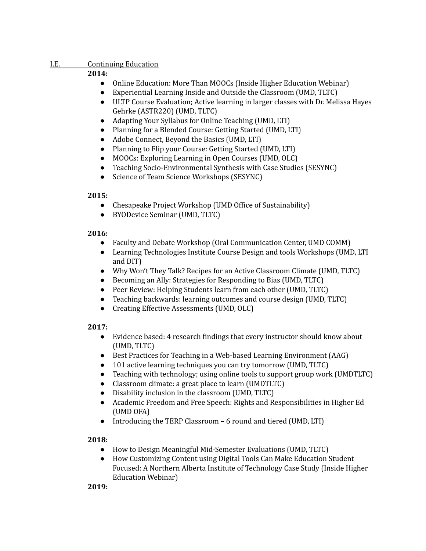#### I.E. Continuing Education

## **2014:**

- Online Education: More Than MOOCs (Inside Higher Education Webinar)
- Experiential Learning Inside and Outside the Classroom (UMD, TLTC)
- ULTP Course Evaluation; Active learning in larger classes with Dr. Melissa Hayes Gehrke (ASTR220) (UMD, TLTC)
- Adapting Your Syllabus for Online Teaching (UMD, LTI)
- Planning for a Blended Course: Getting Started (UMD, LTI)
- Adobe Connect, Beyond the Basics (UMD, LTI)
- Planning to Flip your Course: Getting Started (UMD, LTI)
- MOOCs: Exploring Learning in Open Courses (UMD, OLC)
- Teaching Socio-Environmental Synthesis with Case Studies (SESYNC)
- Science of Team Science Workshops (SESYNC)

## **2015:**

- Chesapeake Project Workshop (UMD Office of Sustainability)
- BYODevice Seminar (UMD, TLTC)

## **2016:**

- Faculty and Debate Workshop (Oral Communication Center, UMD COMM)
- Learning Technologies Institute Course Design and tools Workshops (UMD, LTI and DIT)
- Why Won't They Talk? Recipes for an Active Classroom Climate (UMD, TLTC)
- Becoming an Ally: Strategies for Responding to Bias (UMD, TLTC)
- *●* Peer Review: Helping Students learn from each other (UMD, TLTC)
- *●* Teaching backwards: learning outcomes and course design (UMD, TLTC)
- Creating Effective Assessments (UMD, OLC)

# **2017:**

- Evidence based: 4 research findings that every instructor should know about (UMD, TLTC)
- Best Practices for Teaching in a Web-based Learning Environment (AAG)
- 101 active learning techniques you can try tomorrow (UMD, TLTC)
- Teaching with technology; using online tools to support group work (UMDTLTC)
- Classroom climate: a great place to learn (UMDTLTC)
- Disability inclusion in the classroom (UMD, TLTC)
- Academic Freedom and Free Speech: Rights and Responsibilities in Higher Ed (UMD OFA)
- Introducing the TERP Classroom 6 round and tiered (UMD, LTI)

## **2018:**

- How to Design Meaningful Mid-Semester Evaluations (UMD, TLTC)
- How Customizing Content using Digital Tools Can Make Education Student Focused: A Northern Alberta Institute of Technology Case Study (Inside Higher Education Webinar)

**2019:**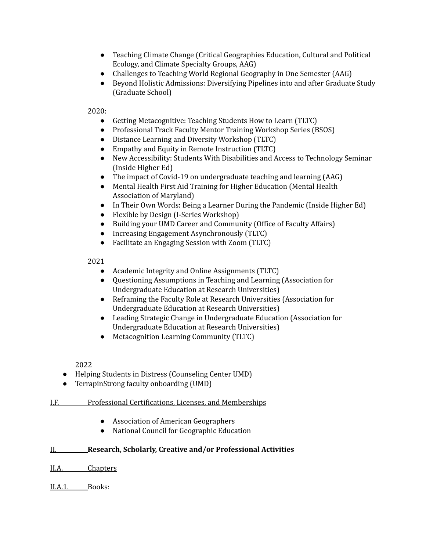- Teaching Climate Change (Critical Geographies Education, Cultural and Political Ecology, and Climate Specialty Groups, AAG)
- Challenges to Teaching World Regional Geography in One Semester (AAG)
- Beyond Holistic Admissions: Diversifying Pipelines into and after Graduate Study (Graduate School)

2020:

- Getting Metacognitive: Teaching Students How to Learn (TLTC)
- Professional Track Faculty Mentor Training Workshop Series (BSOS)
- Distance Learning and Diversity Workshop (TLTC)
- Empathy and Equity in Remote Instruction (TLTC)
- New Accessibility: Students With Disabilities and Access to Technology Seminar (Inside Higher Ed)
- The impact of Covid-19 on undergraduate teaching and learning (AAG)
- Mental Health First Aid Training for Higher Education (Mental Health Association of Maryland)
- In Their Own Words: Being a Learner During the [Pandemic](https://insidehighered.us2.list-manage.com/track/click?u=ed1d2ff123b6b83dd97022f88&id=182fc986c2&e=ac3ab29162) (Inside Higher Ed)
- Flexible by Design (I-Series Workshop)
- Building your UMD Career and Community (Office of Faculty Affairs)
- Increasing Engagement Asynchronously (TLTC)
- Facilitate an Engaging Session with Zoom (TLTC)

2021

- Academic Integrity and Online Assignments (TLTC)
- Questioning Assumptions in Teaching and Learning (Association for Undergraduate Education at Research Universities)
- Reframing the Faculty Role at Research Universities (Association for Undergraduate Education at Research Universities)
- Leading Strategic Change in Undergraduate Education (Association for Undergraduate Education at Research Universities)
- Metacognition Learning Community (TLTC)

2022

- Helping Students in Distress (Counseling Center UMD)
- TerrapinStrong faculty onboarding (UMD)
- I.F. Professional Certifications, Licenses, and Memberships
	- Association of American Geographers
	- National Council for Geographic Education

## II. **Research, Scholarly, Creative and/or Professional Activities**

II.A. Chapters

II.A.1. Books: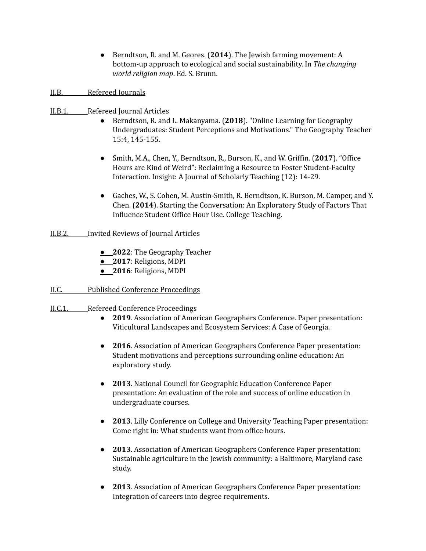● Berndtson, R. and M. Geores. (**2014**). The Jewish farming movement: A bottom-up approach to ecological and social sustainability. In *The changing world religion map*. Ed. S. Brunn.

## II.B. Refereed Journals

- II.B.1. Refereed Journal Articles
	- Berndtson, R. and L. Makanyama. (**2018**). "Online Learning for Geography Undergraduates: Student Perceptions and Motivations." The Geography Teacher 15:4, 145-155.
	- Smith, M.A., Chen, Y., Berndtson, R., Burson, K., and W. Griffin. (**2017**). "Office Hours are Kind of Weird": Reclaiming a Resource to Foster Student-Faculty Interaction. Insight: A Journal of Scholarly Teaching (12): 14-29.
	- Gaches, W., S. Cohen, M. Austin-Smith, R. Berndtson, K. Burson, M. Camper, and Y. Chen. (**2014**). Starting the Conversation: An Exploratory Study of Factors That Influence Student Office Hour Use. College Teaching.
- II.B.2. Invited Reviews of Journal Articles
	- **2022**: The Geography Teacher
	- **2017**: Religions, MDPI
	- **2016**: Religions, MDPI
- II.C. Published Conference Proceedings
- II.C.1. Refereed Conference Proceedings
	- **2019**. Association of American Geographers Conference. Paper presentation: Viticultural Landscapes and Ecosystem Services: A Case of Georgia.
	- **2016**. Association of American Geographers Conference Paper presentation: Student motivations and perceptions surrounding online education: An exploratory study.
	- **2013**. National Council for Geographic Education Conference Paper presentation: An evaluation of the role and success of online education in undergraduate courses.
	- **2013**. Lilly Conference on College and University Teaching Paper presentation: Come right in: What students want from office hours.
	- **2013**. Association of American Geographers Conference Paper presentation: Sustainable agriculture in the Jewish community: a Baltimore, Maryland case study.
	- **2013**. Association of American Geographers Conference Paper presentation: Integration of careers into degree requirements.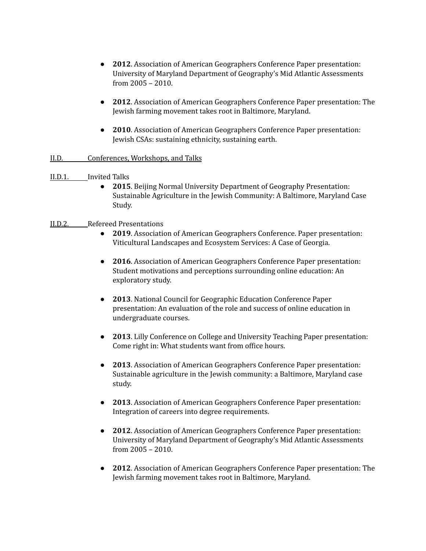- **2012**. Association of American Geographers Conference Paper presentation: University of Maryland Department of Geography's Mid Atlantic Assessments from 2005 – 2010.
- **2012**. Association of American Geographers Conference Paper presentation: The Jewish farming movement takes root in Baltimore, Maryland.
- **2010**. Association of American Geographers Conference Paper presentation: Jewish CSAs: sustaining ethnicity, sustaining earth.

## II.D. Conferences, Workshops, and Talks

#### II.D.1. Invited Talks

● **2015**. Beijing Normal University Department of Geography Presentation: Sustainable Agriculture in the Jewish Community: A Baltimore, Maryland Case Study.

#### II.D.2. Refereed Presentations

- **2019**. Association of American Geographers Conference. Paper presentation: Viticultural Landscapes and Ecosystem Services: A Case of Georgia.
- **2016**. Association of American Geographers Conference Paper presentation: Student motivations and perceptions surrounding online education: An exploratory study.
- **2013**. National Council for Geographic Education Conference Paper presentation: An evaluation of the role and success of online education in undergraduate courses.
- **2013**. Lilly Conference on College and University Teaching Paper presentation: Come right in: What students want from office hours.
- **2013**. Association of American Geographers Conference Paper presentation: Sustainable agriculture in the Jewish community: a Baltimore, Maryland case study.
- **2013**. Association of American Geographers Conference Paper presentation: Integration of careers into degree requirements.
- **2012**. Association of American Geographers Conference Paper presentation: University of Maryland Department of Geography's Mid Atlantic Assessments from 2005 – 2010.
- **2012**. Association of American Geographers Conference Paper presentation: The Jewish farming movement takes root in Baltimore, Maryland.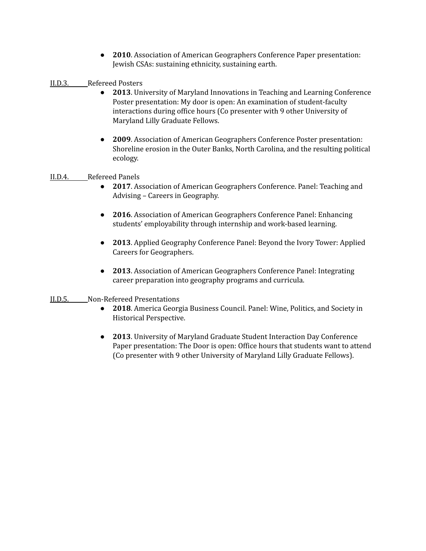- **2010**. Association of American Geographers Conference Paper presentation: Jewish CSAs: sustaining ethnicity, sustaining earth.
- II.D.3. Refereed Posters
	- **2013**. University of Maryland Innovations in Teaching and Learning Conference Poster presentation: My door is open: An examination of student-faculty interactions during office hours (Co presenter with 9 other University of Maryland Lilly Graduate Fellows.
	- **2009**. Association of American Geographers Conference Poster presentation: Shoreline erosion in the Outer Banks, North Carolina, and the resulting political ecology.

#### II.D.4. Refereed Panels

- **2017**. Association of American Geographers Conference. Panel: Teaching and Advising – Careers in Geography.
- **2016**. Association of American Geographers Conference Panel: Enhancing students' employability through internship and work-based learning.
- **2013**. Applied Geography Conference Panel: Beyond the Ivory Tower: Applied Careers for Geographers.
- **2013**. Association of American Geographers Conference Panel: Integrating career preparation into geography programs and curricula.
- II.D.5. Non-Refereed Presentations
	- **2018**. America Georgia Business Council. Panel: Wine, Politics, and Society in Historical Perspective.
	- **2013**. University of Maryland Graduate Student Interaction Day Conference Paper presentation: The Door is open: Office hours that students want to attend (Co presenter with 9 other University of Maryland Lilly Graduate Fellows).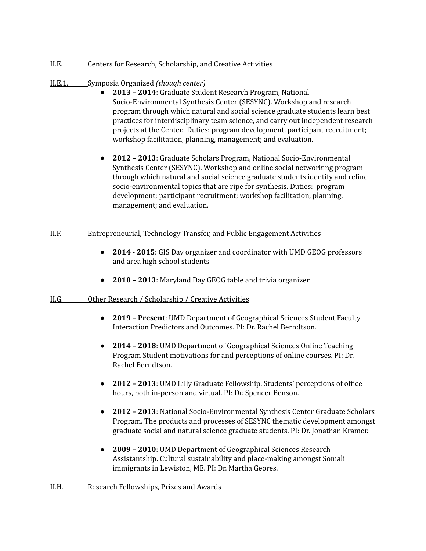#### II.E. Centers for Research, Scholarship, and Creative Activities

## II.E.1. Symposia Organized *(though center)*

- **2013 – 2014**: Graduate Student Research Program, National Socio-Environmental Synthesis Center (SESYNC). Workshop and research program through which natural and social science graduate students learn best practices for interdisciplinary team science, and carry out independent research projects at the Center. Duties: program development, participant recruitment; workshop facilitation, planning, management; and evaluation.
- **2012 – 2013**: Graduate Scholars Program, National Socio-Environmental Synthesis Center (SESYNC). Workshop and online social networking program through which natural and social science graduate students identify and refine socio-environmental topics that are ripe for synthesis. Duties: program development; participant recruitment; workshop facilitation, planning, management; and evaluation.

## II.F. Entrepreneurial, Technology Transfer, and Public Engagement Activities

- **2014 - 2015**: GIS Day organizer and coordinator with UMD GEOG professors and area high school students
- **2010 – 2013**: Maryland Day GEOG table and trivia organizer

## II.G. Other Research / Scholarship / Creative Activities

- **2019 – Present**: UMD Department of Geographical Sciences Student Faculty Interaction Predictors and Outcomes. PI: Dr. Rachel Berndtson.
- **2014 – 2018**: UMD Department of Geographical Sciences Online Teaching Program Student motivations for and perceptions of online courses. PI: Dr. Rachel Berndtson.
- **2012 – 2013**: UMD Lilly Graduate Fellowship. Students' perceptions of office hours, both in-person and virtual. PI: Dr. Spencer Benson.
- **2012 – 2013**: National Socio-Environmental Synthesis Center Graduate Scholars Program. The products and processes of SESYNC thematic development amongst graduate social and natural science graduate students. PI: Dr. Jonathan Kramer.
- **2009 – 2010**: UMD Department of Geographical Sciences Research Assistantship. Cultural sustainability and place-making amongst Somali immigrants in Lewiston, ME. PI: Dr. Martha Geores.

#### II.H. Research Fellowships, Prizes and Awards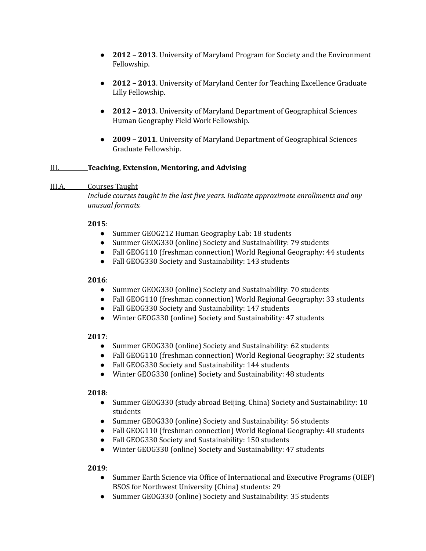- **2012 – 2013**. University of Maryland Program for Society and the Environment Fellowship.
- **2012 – 2013**. University of Maryland Center for Teaching Excellence Graduate Lilly Fellowship.
- **2012 – 2013**. University of Maryland Department of Geographical Sciences Human Geography Field Work Fellowship.
- **2009 – 2011**. University of Maryland Department of Geographical Sciences Graduate Fellowship.

## III. **Teaching, Extension, Mentoring, and Advising**

## III.A. Courses Taught

*Include courses taught in the last five years. Indicate approximate enrollments and any unusual formats.*

## **2015**:

- Summer GEOG212 Human Geography Lab: 18 students
- Summer GEOG330 (online) Society and Sustainability: 79 students
- Fall GEOG110 (freshman connection) World Regional Geography: 44 students
- Fall GEOG330 Society and Sustainability: 143 students

## **2016**:

- Summer GEOG330 (online) Society and Sustainability: 70 students
- Fall GEOG110 (freshman connection) World Regional Geography: 33 students
- Fall GEOG330 Society and Sustainability: 147 students
- Winter GEOG330 (online) Society and Sustainability: 47 students

## **2017**:

- Summer GEOG330 (online) Society and Sustainability: 62 students
- Fall GEOG110 (freshman connection) World Regional Geography: 32 students
- Fall GEOG330 Society and Sustainability: 144 students
- Winter GEOG330 (online) Society and Sustainability: 48 students

## **2018**:

- Summer GEOG330 (study abroad Beijing, China) Society and Sustainability: 10 students
- Summer GEOG330 (online) Society and Sustainability: 56 students
- Fall GEOG110 (freshman connection) World Regional Geography: 40 students
- Fall GEOG330 Society and Sustainability: 150 students
- Winter GEOG330 (online) Society and Sustainability: 47 students

## **2019**:

- Summer Earth Science via Office of International and Executive Programs (OIEP) BSOS for Northwest University (China) students: 29
- Summer GEOG330 (online) Society and Sustainability: 35 students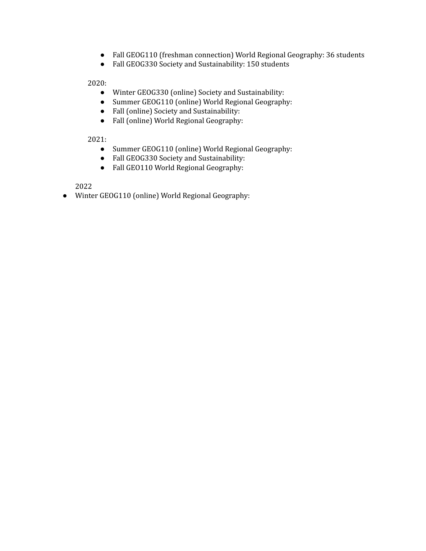- Fall GEOG110 (freshman connection) World Regional Geography: 36 students
- Fall GEOG330 Society and Sustainability: 150 students

2020:

- Winter GEOG330 (online) Society and Sustainability:
- Summer GEOG110 (online) World Regional Geography:
- Fall (online) Society and Sustainability:
- Fall (online) World Regional Geography:

2021:

- Summer GEOG110 (online) World Regional Geography:
- Fall GEOG330 Society and Sustainability:
- Fall GEO110 World Regional Geography:

2022

● Winter GEOG110 (online) World Regional Geography: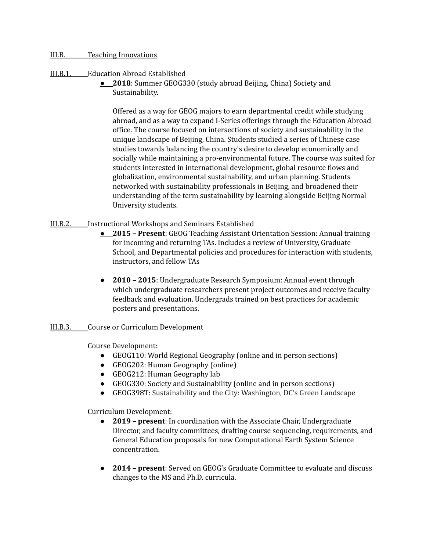#### III.B. Teaching Innovations

## III.B.1. Education Abroad Established

● **2018**: Summer GEOG330 (study abroad Beijing, China) Society and Sustainability.

Offered as a way for GEOG majors to earn departmental credit while studying abroad, and as a way to expand I-Series offerings through the Education Abroad office. The course focused on intersections of society and sustainability in the unique landscape of Beijing, China. Students studied a series of Chinese case studies towards balancing the country's desire to develop economically and socially while maintaining a pro-environmental future. The course was suited for students interested in international development, global resource flows and globalization, environmental sustainability, and urban planning. Students networked with sustainability professionals in Beijing, and broadened their understanding of the term sustainability by learning alongside Beijing Normal University students.

- III.B.2. Instructional Workshops and Seminars Established
	- **2015 – Present**: GEOG Teaching Assistant Orientation Session: Annual training for incoming and returning TAs. Includes a review of University, Graduate School, and Departmental policies and procedures for interaction with students, instructors, and fellow TAs
	- **2010 – 2015**: Undergraduate Research Symposium: Annual event through which undergraduate researchers present project outcomes and receive faculty feedback and evaluation. Undergrads trained on best practices for academic posters and presentations.
- III.B.3. Course or Curriculum Development

Course Development:

- GEOG110: World Regional Geography (online and in person sections)
- GEOG202: Human Geography (online)
- GEOG212: Human Geography lab
- GEOG330: Society and Sustainability (online and in person sections)
- GEOG398T: Sustainability and the City: Washington, DC's Green Landscape

Curriculum Development:

- **2019 – present**: In coordination with the Associate Chair, Undergraduate Director, and faculty committees, drafting course sequencing, requirements, and General Education proposals for new Computational Earth System Science concentration.
- **2014 – present**: Served on GEOG's Graduate Committee to evaluate and discuss changes to the MS and Ph.D. curricula.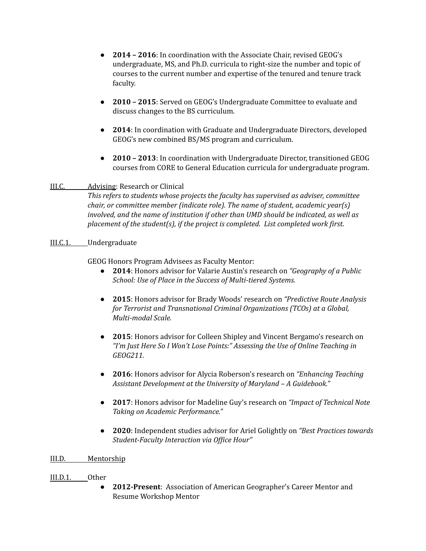- **2014 – 2016**: In coordination with the Associate Chair, revised GEOG's undergraduate, MS, and Ph.D. curricula to right-size the number and topic of courses to the current number and expertise of the tenured and tenure track faculty.
- **2010 – 2015**: Served on GEOG's Undergraduate Committee to evaluate and discuss changes to the BS curriculum.
- **2014**: In coordination with Graduate and Undergraduate Directors, developed GEOG's new combined BS/MS program and curriculum.
- **2010 – 2013**: In coordination with Undergraduate Director, transitioned GEOG courses from CORE to General Education curricula for undergraduate program.

## III.C. Advising: Research or Clinical

*This refers to students whose projects the faculty has supervised as adviser, committee chair, or committee member (indicate role). The name of student, academic year(s) involved, and the name of institution if other than UMD should be indicated, as well as placement of the student(s), if the project is completed. List completed work first.*

## III.C.1. Undergraduate

GEOG Honors Program Advisees as Faculty Mentor:

- **2014**: Honors advisor for Valarie Austin's research on *"Geography of a Public School: Use of Place in the Success of Multi-tiered Systems.*
- **2015**: Honors advisor for Brady Woods' research on *"Predictive Route Analysis for Terrorist and Transnational Criminal Organizations (TCOs) at a Global, Multi-modal Scale.*
- **2015**: Honors advisor for Colleen Shipley and Vincent Bergamo's research on *"I'm Just Here So I Won't Lose Points:" Assessing the Use of Online Teaching in GEOG211.*
- **2016**: Honors advisor for Alycia Roberson's research on *"Enhancing Teaching Assistant Development at the University of Maryland – A Guidebook."*
- **2017**: Honors advisor for Madeline Guy's research on *"Impact of Technical Note Taking on Academic Performance."*
- **2020**: Independent studies advisor for Ariel Golightly on *"Best Practices towards Student-Faculty Interaction via Of ice Hour"*

## III.D. Mentorship

## III.D.1. Other

● **2012-Present**: Association of American Geographer's Career Mentor and Resume Workshop Mentor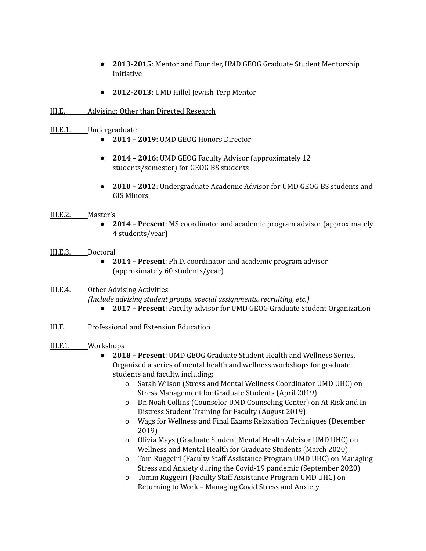- **2013-2015**: Mentor and Founder, UMD GEOG Graduate Student Mentorship Initiative
- **2012-2013**: UMD Hillel Jewish Terp Mentor
- III.E. Advising: Other than Directed Research
- III.E.1. Undergraduate
	- **2014 – 2019**: UMD GEOG Honors Director
	- **2014 – 2016**: UMD GEOG Faculty Advisor (approximately 12 students/semester) for GEOG BS students
	- **2010 – 2012**: Undergraduate Academic Advisor for UMD GEOG BS students and GIS Minors

#### III.E.2. Master's

● **2014 – Present**: MS coordinator and academic program advisor (approximately 4 students/year)

#### III.E.3. Doctoral

● **2014 – Present**: Ph.D. coordinator and academic program advisor (approximately 60 students/year)

#### III.E.4. Other Advising Activities

*(Include advising student groups, special assignments, recruiting, etc.)*

● **2017 – Present**: Faculty advisor for UMD GEOG Graduate Student Organization

## III.F. Professional and Extension Education

## III.F.1. Workshops

- **2018 – Present**: UMD GEOG Graduate Student Health and Wellness Series. Organized a series of mental health and wellness workshops for graduate students and faculty, including:
	- o Sarah Wilson (Stress and Mental Wellness Coordinator UMD UHC) on Stress Management for Graduate Students (April 2019)
	- o Dr. Noah Collins (Counselor UMD Counseling Center) on At Risk and In Distress Student Training for Faculty (August 2019)
	- o Wags for Wellness and Final Exams Relaxation Techniques (December 2019)
	- o Olivia Mays (Graduate Student Mental Health Advisor UMD UHC) on Wellness and Mental Health for Graduate Students (March 2020)
	- o Tom Ruggeiri (Faculty Staff Assistance Program UMD UHC) on Managing Stress and Anxiety during the Covid-19 pandemic (September 2020)
	- o Tomm Ruggeiri (Faculty Staff Assistance Program UMD UHC) on Returning to Work – Managing Covid Stress and Anxiety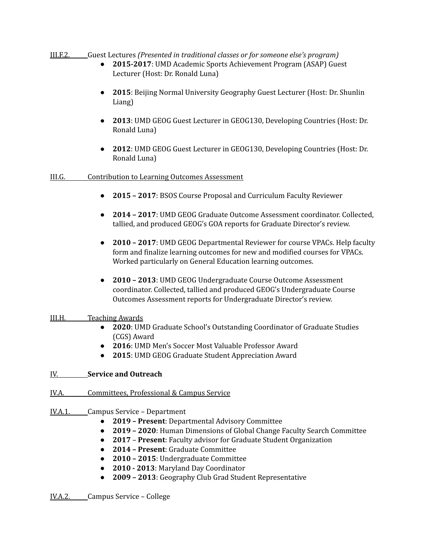III.F.2. Guest Lectures *(Presented in traditional classes or for someone else's program)*

- **2015-2017**: UMD Academic Sports Achievement Program (ASAP) Guest Lecturer (Host: Dr. Ronald Luna)
- **2015**: Beijing Normal University Geography Guest Lecturer (Host: Dr. Shunlin Liang)
- **2013**: UMD GEOG Guest Lecturer in GEOG130, Developing Countries (Host: Dr. Ronald Luna)
- **2012**: UMD GEOG Guest Lecturer in GEOG130, Developing Countries (Host: Dr. Ronald Luna)

## III.G. Contribution to Learning Outcomes Assessment

- **2015 – 2017**: BSOS Course Proposal and Curriculum Faculty Reviewer
- **2014 – 2017**: UMD GEOG Graduate Outcome Assessment coordinator. Collected, tallied, and produced GEOG's GOA reports for Graduate Director's review.
- **2010 – 2017**: UMD GEOG Departmental Reviewer for course VPACs. Help faculty form and finalize learning outcomes for new and modified courses for VPACs. Worked particularly on General Education learning outcomes.
- **2010 – 2013**: UMD GEOG Undergraduate Course Outcome Assessment coordinator. Collected, tallied and produced GEOG's Undergraduate Course Outcomes Assessment reports for Undergraduate Director's review.

## III.H. Teaching Awards

- **2020**: UMD Graduate School's Outstanding Coordinator of Graduate Studies (CGS) Award
- **2016**: UMD Men's Soccer Most Valuable Professor Award
- **2015**: UMD GEOG Graduate Student Appreciation Award

## IV. **Service and Outreach**

- IV.A. Committees, Professional & Campus Service
- IV.A.1. Campus Service Department
	- **2019 – Present**: Departmental Advisory Committee
	- **2019 – 2020**: Human Dimensions of Global Change Faculty Search Committee
	- **2017 Present**: Faculty advisor for Graduate Student Organization
	- **2014 – Present**: Graduate Committee
	- **2010 – 2015**: Undergraduate Committee
	- **2010 - 2013**: Maryland Day Coordinator
	- **2009 – 2013**: Geography Club Grad Student Representative